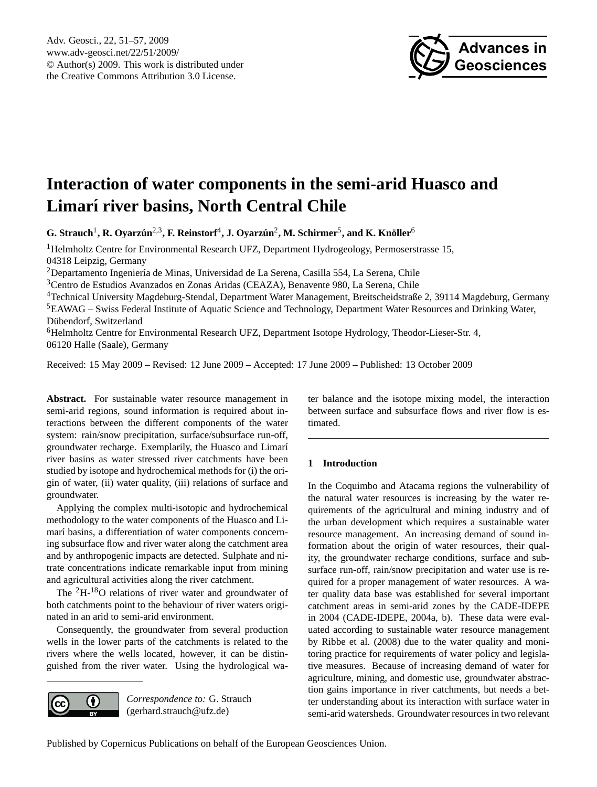

# <span id="page-0-0"></span>**Interaction of water components in the semi-arid Huasco and Limarí river basins, North Central Chile**

 $\bf{G. Strauch}^1, \bf{R. Oyarzún}^{2,3}, \bf{F. Reinstorf}^4, \bf{J. Oyarzún}^2, \bf{M. Schirmer}^5, \bf{and K. Knöller}^6$ 

<sup>1</sup>Helmholtz Centre for Environmental Research UFZ, Department Hydrogeology, Permoserstrasse 15, 04318 Leipzig, Germany

<sup>2</sup>Departamento Ingeniería de Minas, Universidad de La Serena, Casilla 554, La Serena, Chile

<sup>3</sup>Centro de Estudios Avanzados en Zonas Aridas (CEAZA), Benavente 980, La Serena, Chile

<sup>4</sup>Technical University Magdeburg-Stendal, Department Water Management, Breitscheidstraße 2, 39114 Magdeburg, Germany <sup>5</sup>EAWAG – Swiss Federal Institute of Aquatic Science and Technology, Department Water Resources and Drinking Water, Dübendorf, Switzerland

<sup>6</sup>Helmholtz Centre for Environmental Research UFZ, Department Isotope Hydrology, Theodor-Lieser-Str. 4, 06120 Halle (Saale), Germany

Received: 15 May 2009 – Revised: 12 June 2009 – Accepted: 17 June 2009 – Published: 13 October 2009

Abstract. For sustainable water resource management in semi-arid regions, sound information is required about interactions between the different components of the water system: rain/snow precipitation, surface/subsurface run-off, groundwater recharge. Exemplarily, the Huasco and Limarí river basins as water stressed river catchments have been studied by isotope and hydrochemical methods for (i) the origin of water, (ii) water quality, (iii) relations of surface and groundwater.

Applying the complex multi-isotopic and hydrochemical methodology to the water components of the Huasco and Limarí basins, a differentiation of water components concerning subsurface flow and river water along the catchment area and by anthropogenic impacts are detected. Sulphate and nitrate concentrations indicate remarkable input from mining and agricultural activities along the river catchment.

The <sup>2</sup>H-18O relations of river water and groundwater of both catchments point to the behaviour of river waters originated in an arid to semi-arid environment.

Consequently, the groundwater from several production wells in the lower parts of the catchments is related to the rivers where the wells located, however, it can be distinguished from the river water. Using the hydrological wa-



*Correspondence to:* G. Strauch (gerhard.strauch@ufz.de)

ter balance and the isotope mixing model, the interaction between surface and subsurface flows and river flow is estimated.

# **1 Introduction**

In the Coquimbo and Atacama regions the vulnerability of the natural water resources is increasing by the water requirements of the agricultural and mining industry and of the urban development which requires a sustainable water resource management. An increasing demand of sound information about the origin of water resources, their quality, the groundwater recharge conditions, surface and subsurface run-off, rain/snow precipitation and water use is required for a proper management of water resources. A water quality data base was established for several important catchment areas in semi-arid zones by the CADE-IDEPE in 2004 (CADE-IDEPE, 2004a, b). These data were evaluated according to sustainable water resource management by Ribbe et al. (2008) due to the water quality and monitoring practice for requirements of water policy and legislative measures. Because of increasing demand of water for agriculture, mining, and domestic use, groundwater abstraction gains importance in river catchments, but needs a better understanding about its interaction with surface water in semi-arid watersheds. Groundwater resources in two relevant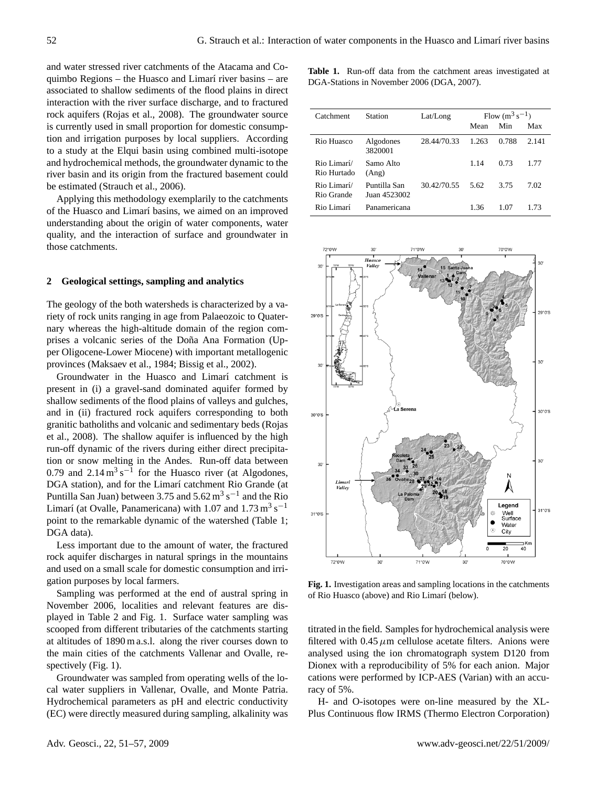and water stressed river catchments of the Atacama and Coquimbo Regions – the Huasco and Limarí river basins – are associated to shallow sediments of the flood plains in direct interaction with the river surface discharge, and to fractured rock aquifers (Rojas et al., 2008). The groundwater source is currently used in small proportion for domestic consumption and irrigation purposes by local suppliers. According to a study at the Elqui basin using combined multi-isotope and hydrochemical methods, the groundwater dynamic to the river basin and its origin from the fractured basement could be estimated (Strauch et al., 2006).

Applying this methodology exemplarily to the catchments of the Huasco and Limarí basins, we aimed on an improved understanding about the origin of water components, water quality, and the interaction of surface and groundwater in those catchments.

### **2 Geological settings, sampling and analytics**

The geology of the both watersheds is characterized by a variety of rock units ranging in age from Palaeozoic to Quaternary whereas the high-altitude domain of the region comprises a volcanic series of the Doña Ana Formation (Upper Oligocene-Lower Miocene) with important metallogenic provinces (Maksaev et al., 1984; Bissig et al., 2002).

Groundwater in the Huasco and Limarí catchment is present in (i) a gravel-sand dominated aquifer formed by shallow sediments of the flood plains of valleys and gulches, and in (ii) fractured rock aquifers corresponding to both granitic batholiths and volcanic and sedimentary beds (Rojas et al., 2008). The shallow aquifer is influenced by the high run-off dynamic of the rivers during either direct precipitation or snow melting in the Andes. Run-off data between 0.79 and  $2.14 \text{ m}^3 \text{ s}^{-1}$  for the Huasco river (at Algodones, DGA station), and for the Limarí catchment Rio Grande (at Puntilla San Juan) between 3.75 and  $5.62 \text{ m}^3 \text{ s}^{-1}$  and the Rio Limarí (at Ovalle, Panamericana) with 1.07 and  $1.73 \text{ m}^3 \text{ s}^{-1}$ point to the remarkable dynamic of the watershed (Table 1; DGA data).

Less important due to the amount of water, the fractured rock aquifer discharges in natural springs in the mountains and used on a small scale for domestic consumption and irrigation purposes by local farmers.

Sampling was performed at the end of austral spring in November 2006, localities and relevant features are displayed in Table 2 and Fig. 1. Surface water sampling was scooped from different tributaries of the catchments starting at altitudes of 1890 m a.s.l. along the river courses down to the main cities of the catchments Vallenar and Ovalle, respectively (Fig. 1).

Groundwater was sampled from operating wells of the local water suppliers in Vallenar, Ovalle, and Monte Patria. Hydrochemical parameters as pH and electric conductivity (EC) were directly measured during sampling, alkalinity was **Table 1.** Run-off data from the catchment areas investigated at DGA-Stations in November 2006 (DGA, 2007).

| Catchment                  | <b>Station</b>               | Lat/Long    | Flow $(m^3 s^{-1})$ |       |       |
|----------------------------|------------------------------|-------------|---------------------|-------|-------|
|                            |                              |             | Mean                | Min   | Max   |
| Rio Huasco                 | Algodones<br>3820001         | 28.44/70.33 | 1.263               | 0.788 | 2.141 |
| Rio Limarí/<br>Rio Hurtado | Samo Alto<br>(Ang)           |             | 1.14                | 0.73  | 1.77  |
| Rio Limarí/<br>Rio Grande  | Puntilla San<br>Juan 4523002 | 30 42/70 55 | 5.62                | 3.75  | 7.02  |
| Rio Limarí                 | Panamericana                 |             | 1.36                | 1.07  | 1.73  |



 $\overline{f}$   $\overline{F}$ of Rio Huasco (above) and Rio Limarí (below). Fig. 1. Investigation areas and sampling locations in the catchments

titrated in the field. Samples for hydrochemical analysis were filtered with 0.45  $\mu$ m cellulose acetate filters. Anions were analysed using the ion chromatograph system D120 from Dionex with a reproducibility of 5% for each anion. Major cations were performed by ICP-AES (Varian) with an accuracy of 5%.

H- and O-isotopes were on-line measured by the XL-Plus Continuous flow IRMS (Thermo Electron Corporation)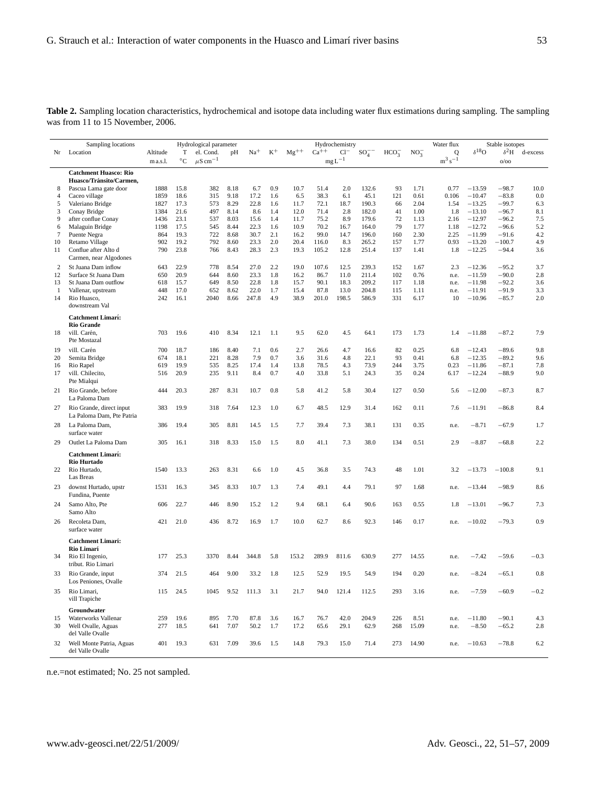| Table 2. Sampling location characteristics, hydrochemical and isotope data including water flux estimations during sampling. The sampling |  |  |  |  |  |  |  |
|-------------------------------------------------------------------------------------------------------------------------------------------|--|--|--|--|--|--|--|
| was from 11 to 15 November, 2006.                                                                                                         |  |  |  |  |  |  |  |

|                    | Sampling locations                                    |              |                   | Hydrological parameter   |              |               |            |               |               | Hydrochemistry   |                |                  |              | Water flux    |                      | Stable isotopes    |            |
|--------------------|-------------------------------------------------------|--------------|-------------------|--------------------------|--------------|---------------|------------|---------------|---------------|------------------|----------------|------------------|--------------|---------------|----------------------|--------------------|------------|
| Nr                 | Location                                              | Altitude     | Т                 | el. Cond.                | pH           | $Na+$         | $K^+$      | $\rm Mg^{++}$ | $Ca^{++}$     | $Cl^-$           | $SO_4^-$       | HCO <sub>3</sub> | $NO_3^-$     | 0             | $\delta^{18}O$       | $\delta^2$ H       | d-excess   |
|                    |                                                       | m a.s.l.     | $^{\circ}{\rm C}$ | $\mu$ S cm <sup>-1</sup> |              |               |            |               |               | $\rm mg\,L^{-1}$ |                |                  |              | $m^3 s^{-1}$  |                      | O/OO               |            |
|                    | <b>Catchment Huasco: Rio</b>                          |              |                   |                          |              |               |            |               |               |                  |                |                  |              |               |                      |                    |            |
|                    | Huasco/Tránsito/Carmen,                               |              |                   |                          |              |               |            |               |               |                  |                |                  |              |               |                      |                    |            |
| 8                  | Pascua Lama gate door                                 | 1888         | 15.8              | 382                      | 8.18         | 6.7           | 0.9        | 10.7          | 51.4          | 2.0              | 132.6          | 93               | 1.71         | 0.77          | $-13.59$             | $-98.7$            | 10.0       |
| $\overline{4}$     | Caceo village                                         | 1859<br>1827 | 18.6<br>17.3      | 315<br>573               | 9.18<br>8.29 | 17.2<br>22.8  | 1.6<br>1.6 | 6.5<br>11.7   | 38.3<br>72.1  | 6.1<br>18.7      | 45.1<br>190.3  | 121<br>66        | 0.61<br>2.04 | 0.106<br>1.54 | $-10.47$<br>$-13.25$ | $-83.8$<br>$-99.7$ | 0.0<br>6.3 |
| 5<br>3             | Valeriano Bridge<br>Conay Bridge                      | 1384         | 21.6              | 497                      | 8.14         | 8.6           | 1.4        | 12.0          | 71.4          | 2.8              | 182.0          | 41               | 1.00         | 1.8           | $-13.10$             | $-96.7$            | 8.1        |
| 9                  | after conflue Conay                                   | 1436         | 23.1              | 537                      | 8.03         | 15.6          | 1.4        | 11.7          | 75.2          | 8.9              | 179.6          | 72               | 1.13         | 2.16          | $-12.97$             | $-96.2$            | 7.5        |
| 6                  | Malaguin Bridge                                       | 1198         | 17.5              | 545                      | 8.44         | 22.3          | 1.6        | 10.9          | 70.2          | 16.7             | 164.0          | 79               | 1.77         | 1.18          | $-12.72$             | $-96.6$            | 5.2        |
| $\tau$             | Puente Negra                                          | 864          | 19.3              | 722                      | 8.68         | 30.7          | 2.1        | 16.2          | 99.0          | 14.7             | 196.0          | 160              | 2.30         | 2.25          | $-11.99$             | $-91.6$            | 4.2        |
| 10                 | Retamo Village                                        | 902          | 19.2              | 792                      | 8.60         | 23.3          | 2.0        | 20.4          | 116.0         | 8.3              | 265.2          | 157              | 1.77         | 0.93          | $-13.20$             | $-100.7$           | 4.9        |
| 11                 | Conflue after Alto d                                  | 790          | 23.8              | 766                      | 8.43         | 28.3          | 2.3        | 19.3          | 105.2         | 12.8             | 251.4          | 137              | 1.41         | 1.8           | $-12.25$             | $-94.4$            | 3.6        |
|                    | Carmen, near Algodones                                |              |                   |                          |              |               |            |               |               |                  |                |                  |              |               |                      |                    |            |
| $\overline{c}$     | St Juana Dam inflow                                   | 643          | 22.9              | 778                      | 8.54         | 27.0          | 2.2        | 19.0          | 107.6         | 12.5             | 239.3          | 152              | 1.67         | 2.3           | $-12.36$             | $-95.2$            | 3.7        |
| 12                 | Surface St Juana Dam                                  | 650          | 20.9              | 644                      | 8.60         | 23.3          | 1.8        | 16.2          | 86.7          | 11.0             | 211.4          | 102              | 0.76         | n.e.          | $-11.59$             | $-90.0$            | 2.8        |
| 13                 | St Juana Dam outflow                                  | 618          | 15.7              | 649                      | 8.50         | 22.8          | 1.8        | 15.7          | 90.1          | 18.3             | 209.2          | 117              | 1.18         | n.e.          | $-11.98$             | $-92.2$            | 3.6        |
| $\mathbf{1}$<br>14 | Vallenar, upstream<br>Rio Huasco,                     | 448<br>242   | 17.0<br>16.1      | 652<br>2040              | 8.62<br>8.66 | 22.0<br>247.8 | 1.7<br>4.9 | 15.4<br>38.9  | 87.8<br>201.0 | 13.0<br>198.5    | 204.8<br>586.9 | 115<br>331       | 1.11<br>6.17 | n.e.<br>10    | $-11.91$<br>$-10.96$ | $-91.9$<br>$-85.7$ | 3.3<br>2.0 |
|                    | downstream Val                                        |              |                   |                          |              |               |            |               |               |                  |                |                  |              |               |                      |                    |            |
|                    | <b>Catchment Limarí:</b>                              |              |                   |                          |              |               |            |               |               |                  |                |                  |              |               |                      |                    |            |
|                    | <b>Rio Grande</b>                                     |              |                   |                          |              |               |            |               |               |                  |                |                  |              |               |                      |                    |            |
| 18                 | vill. Carén,                                          | 703          | 19.6              | 410                      | 8.34         | 12.1          | 1.1        | 9.5           | 62.0          | 4.5              | 64.1           | 173              | 1.73         | 1.4           | $-11.88$             | $-87.2$            | 7.9        |
|                    | Pte Mostazal                                          |              |                   |                          |              |               |            |               |               |                  |                |                  |              |               |                      |                    |            |
| 19                 | vill. Carén                                           | 700          | 18.7              | 186                      | 8.40         | 7.1           | 0.6        | 2.7           | 26.6          | 4.7              | 16.6           | 82               | 0.25         | 6.8           | $-12.43$             | $-89.6$            | 9.8        |
| 20                 | Semita Bridge                                         | 674          | 18.1              | 221                      | 8.28         | 7.9           | 0.7        | 3.6           | 31.6          | 4.8              | 22.1           | 93               | 0.41         | 6.8           | $-12.35$             | $-89.2$            | 9.6        |
| 16                 | Rio Rapel                                             | 619          | 19.9              | 535                      | 8.25         | 17.4          | 1.4        | 13.8          | 78.5          | 4.3              | 73.9           | 244              | 3.75         | 0.23          | $-11.86$             | $-87.1$            | 7.8        |
| 17                 | vill. Chilecito,<br>Pte Mialqui                       | 516          | 20.9              | 235                      | 9.11         | 8.4           | 0.7        | 4.0           | 33.8          | 5.1              | 24.3           | 35               | 0.24         | 6.17          | $-12.24$             | $-88.9$            | 9.0        |
| 21                 | Rio Grande, before<br>La Paloma Dam                   | 444          | 20.3              | 287                      | 8.31         | 10.7          | 0.8        | 5.8           | 41.2          | 5.8              | 30.4           | 127              | 0.50         | 5.6           | $-12.00$             | $-87.3$            | 8.7        |
| 27                 | Rio Grande, direct input<br>La Paloma Dam, Pte Patria | 383          | 19.9              | 318                      | 7.64         | 12.3          | 1.0        | 6.7           | 48.5          | 12.9             | 31.4           | 162              | 0.11         | 7.6           | $-11.91$             | $-86.8$            | 8.4        |
| 28                 | La Paloma Dam,<br>surface water                       | 386          | 19.4              | 305                      | 8.81         | 14.5          | 1.5        | 7.7           | 39.4          | 7.3              | 38.1           | 131              | 0.35         | n.e.          | $-8.71$              | $-67.9$            | 1.7        |
| 29                 | Outlet La Paloma Dam                                  | 305          | 16.1              | 318                      | 8.33         | 15.0          | 1.5        | 8.0           | 41.1          | 7.3              | 38.0           | 134              | 0.51         | 2.9           | $-8.87$              | $-68.8$            | 2.2        |
|                    | <b>Catchment Limarí:</b>                              |              |                   |                          |              |               |            |               |               |                  |                |                  |              |               |                      |                    |            |
|                    | Rio Hurtado                                           |              |                   |                          |              |               |            |               |               |                  |                |                  |              |               |                      |                    |            |
| 22                 | Rio Hurtado,<br>Las Breas                             | 1540         | 13.3              | 263                      | 8.31         | 6.6           | 1.0        | 4.5           | 36.8          | 3.5              | 74.3           | 48               | 1.01         | 3.2           | $-13.73$             | $-100.8$           | 9.1        |
| 23                 | downst Hurtado, upstr                                 | 1531         | 16.3              | 345                      | 8.33         | 10.7          | 1.3        | 7.4           | 49.1          | 4.4              | 79.1           | 97               | 1.68         | n.e.          | $-13.44$             | $-98.9$            | 8.6        |
|                    | Fundina, Puente                                       |              |                   |                          |              |               |            |               |               |                  |                |                  |              |               |                      |                    |            |
| 24                 | Samo Alto, Pte<br>Samo Alto                           | 606          | 22.7              | 446                      | 8.90         | 15.2          | 1.2        | 9.4           | 68.1          | 6.4              | 90.6           | 163              | 0.55         | 1.8           | $-13.01$             | $-96.7$            | 7.3        |
| 26                 | Recoleta Dam,<br>surface water                        | 421          | 21.0              | 436                      | 8.72         | 16.9          | 1.7        | 10.0          | 62.7          | 8.6              | 92.3           | 146              | 0.17         | n.e.          | $-10.02$             | $-79.3$            | 0.9        |
|                    | <b>Catchment Limarí:</b>                              |              |                   |                          |              |               |            |               |               |                  |                |                  |              |               |                      |                    |            |
|                    | Rio Limarí                                            |              |                   |                          |              |               |            |               |               |                  |                |                  |              |               |                      |                    |            |
| 34                 | Rio El Ingenio,<br>tribut. Rio Limari                 | 177          | 25.3              | 3370                     | 8.44         | 344.8         | 5.8        | 153.2         | 289.9         | 811.6            | 630.9          | 277              | 14.55        | n.e.          | $-7.42$              | $-59.6$            | $-0.3$     |
| 33                 | Rio Grande, input<br>Los Peniones, Ovalle             | 374          | 21.5              | 464                      | 9.00         | 33.2          | 1.8        | 12.5          | 52.9          | 19.5             | 54.9           | 194              | 0.20         | n.e.          | $-8.24$              | $-65.1$            | 0.8        |
| 35                 | Rio Limari,<br>vill Trapiche                          | 115          | 24.5              | 1045                     | 9.52         | 111.3         | 3.1        | 21.7          | 94.0          | 121.4            | 112.5          | 293              | 3.16         | n.e.          | $-7.59$              | $-60.9$            | $-0.2$     |
|                    | Groundwater                                           |              |                   |                          |              |               |            |               |               |                  |                |                  |              |               |                      |                    |            |
| 15                 | Waterworks Vallenar                                   | 259          | 19.6              | 895                      | 7.70         | 87.8          | 3.6        | 16.7          | 76.7          | 42.0             | 204.9          | 226              | 8.51         | n.e.          | $-11.80$             | $-90.1$            | 4.3        |
| 30                 | Well Ovalle, Aguas<br>del Valle Ovalle                | 277          | 18.5              | 641                      | 7.07         | 50.2          | 1.7        | 17.2          | 65.6          | 29.1             | 62.9           | 268              | 15.09        | n.e.          | $-8.50$              | $-65.2$            | 2.8        |
| 32                 | Well Monte Patria, Aguas<br>del Valle Ovalle          | 401          | 19.3              | 631                      | 7.09         | 39.6          | 1.5        | 14.8          | 79.3          | 15.0             | 71.4           | 273              | 14.90        | n.e.          | $-10.63$             | $-78.8$            | 6.2        |

n.e.=not estimated; No. 25 not sampled.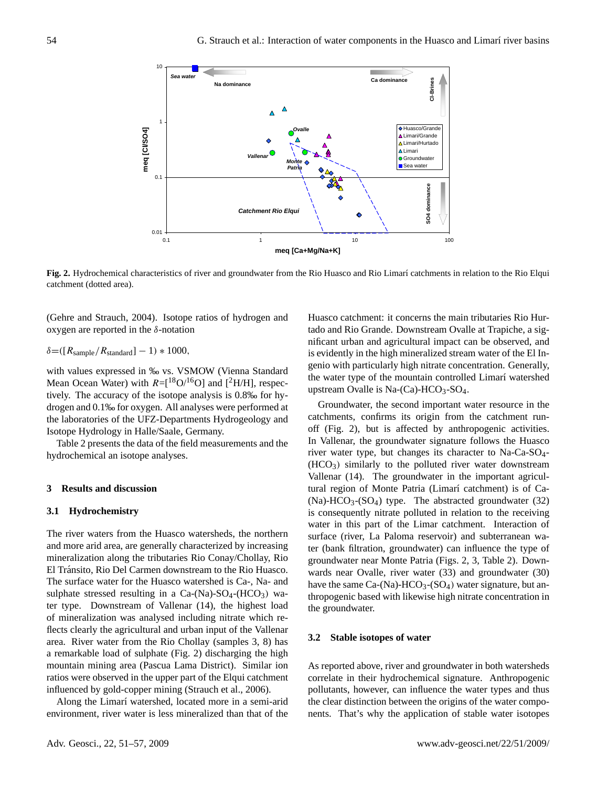

**Fig. 2.** Hydrochemical characteristics of river and groundwater from the Rio Huasco and Rio Limarí catchments in relation to the Rio Elqui<br>catchment (detted area) catchment (dotted area).

(Gehre and Strauch, 2004). Isotope ratios of hydrogen and oxygen are reported in the δ-notation

# $\delta = ( [R_{sample}/R_{standard}] - 1) * 1000,$

with values expressed in ‰ vs. VSMOW (Vienna Standard Mean Ocean Water) with  $R =$ [ $^{18}O/^{16}O$ ] and [ $^{2}H/H$ ], respectively. The accuracy of the isotope analysis is 0.8‰ for hydrogen and 0.1‰ for oxygen. All analyses were performed at the laboratories of the UFZ-Departments Hydrogeology and Isotope Hydrology in Halle/Saale, Germany.

Table 2 presents the data of the field measurements and the hydrochemical an isotope analyses.

## **3 Results and discussion**

#### **3.1 Hydrochemistry**

The river waters from the Huasco watersheds, the northern and more arid area, are generally characterized by increasing mineralization along the tributaries Rio Conay/Chollay, Rio El Tránsito, Rio Del Carmen downstream to the Rio Huasco. The surface water for the Huasco watershed is Ca-, Na- and sulphate stressed resulting in a Ca-(Na)- $SO_4$ -(HCO<sub>3</sub>) water type. Downstream of Vallenar (14), the highest load of mineralization was analysed including nitrate which reflects clearly the agricultural and urban input of the Vallenar area. River water from the Rio Chollay (samples 3, 8) has a remarkable load of sulphate (Fig. 2) discharging the high mountain mining area (Pascua Lama District). Similar ion ratios were observed in the upper part of the Elqui catchment influenced by gold-copper mining (Strauch et al., 2006).

Along the Limarí watershed, located more in a semi-arid environment, river water is less mineralized than that of the

 $\epsilon$   $\delta$ -notation text passage to the new text following teach  $\delta$ -notation text for  $\delta$ -notation Huasco catchment: it concerns the main tributaries Rio Hurnificant urban and agricultural impact can be observed, and is evidently in the high mineralized stream water of the El Ingenio with particularly high nitrate concentration. Generally, the water type of the mountain controlled Limarí watershed upstream Ovalle is Na- $(Ca)$ -HCO<sub>3</sub>-SO<sub>4</sub>.

> Groundwater, the second important water resource in the catchments, confirms its origin from the catchment runoff (Fig. 2), but is affected by anthropogenic activities. In Vallenar, the groundwater signature follows the Huasco river water type, but changes its character to Na-Ca-SO4-  $(HCO<sub>3</sub>)$  similarly to the polluted river water downstream Vallenar (14). The groundwater in the important agricultural region of Monte Patria (Limarí catchment) is of Ca- $(Na)-HCO<sub>3</sub>-(SO<sub>4</sub>)$  type. The abstracted groundwater (32) is consequently nitrate polluted in relation to the receiving water in this part of the Limar catchment. Interaction of surface (river, La Paloma reservoir) and subterranean water (bank filtration, groundwater) can influence the type of groundwater near Monte Patria (Figs. 2, 3, Table 2). Downwards near Ovalle, river water (33) and groundwater (30) have the same  $Ca-(Na)-HCO<sub>3</sub>-(SO<sub>4</sub>)$  water signature, but anthropogenic based with likewise high nitrate concentration in the groundwater.

## **3.2 Stable isotopes of water**

As reported above, river and groundwater in both watersheds correlate in their hydrochemical signature. Anthropogenic pollutants, however, can influence the water types and thus the clear distinction between the origins of the water components. That's why the application of stable water isotopes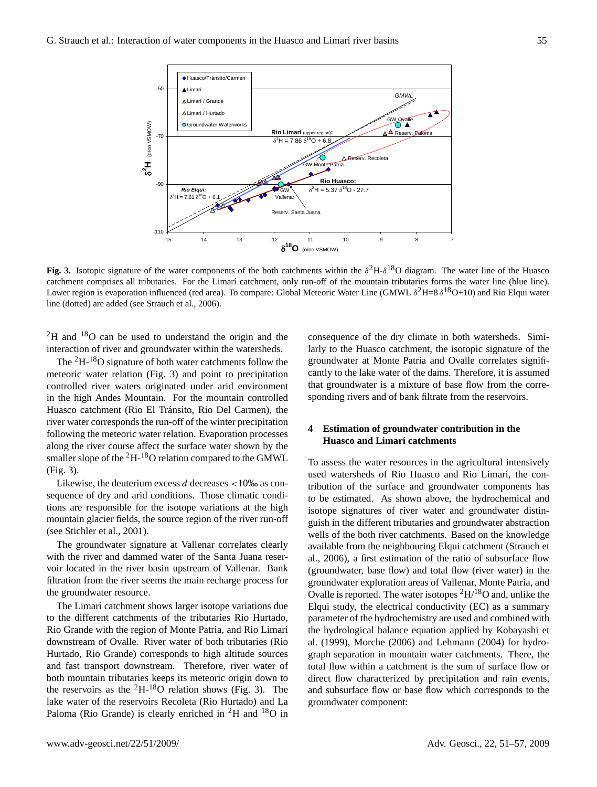

Fig. 3. Isotopic signature of the water components of the both catchments within the  $\delta^2$ H- $\delta^{18}$ O diagram. The water line of the Huasco catchment comprises all tributaries. For the Limarí catchment, only run-off of the mountain tributaries forms the water line (blue line). Lower region is evaporation influenced (red area). To compare: Global Meteoric Water Line (GMWL  $\delta^2$ H=8  $\delta^{18}$ O+10) and Rio Elqui water line (dotted) are added (see Strauch et al., 2006).

 ${}^{2}$ H and  ${}^{18}$ O can be used to understand the origin and the interaction of river and groundwater within the watersheds.

The <sup>2</sup>H-18O signature of both water catchments follow the meteoric water relation (Fig. 3) and point to precipitation controlled river waters originated under arid environment in the high Andes Mountain. For the mountain controlled Huasco catchment (Rio El Tránsito, Rio Del Carmen), the river water corresponds the run-off of the winter precipitation following the meteoric water relation. Evaporation processes along the river course affect the surface water shown by the smaller slope of the <sup>2</sup>H-18O relation compared to the GMWL (Fig. 3).

Likewise, the deuterium excess  $d$  decreases  $<10\%$  as consequence of dry and arid conditions. Those climatic conditions are responsible for the isotope variations at the high mountain glacier fields, the source region of the river run-off (see Stichler et al., 2001).

The groundwater signature at Vallenar correlates clearly with the river and dammed water of the Santa Juana reservoir located in the river basin upstream of Vallenar. Bank filtration from the river seems the main recharge process for the groundwater resource.

The Limarí catchment shows larger isotope variations due to the different catchments of the tributaries Rio Hurtado, Rio Grande with the region of Monte Patria, and Rio Limarí downstream of Ovalle. River water of both tributaries (Rio Hurtado, Rio Grande) corresponds to high altitude sources and fast transport downstream. Therefore, river water of both mountain tributaries keeps its meteoric origin down to the reservoirs as the  ${}^{2}H-{}^{18}O$  relation shows (Fig. 3). The lake water of the reservoirs Recoleta (Rio Hurtado) and La Paloma (Rio Grande) is clearly enriched in  ${}^{2}H$  and  ${}^{18}O$  in

derstand the origin and the consequence of the dry climate in both watersheds. Similarly to the Huasco catchment, the isotopic signature of the groundwater at Monte Patria and Ovalle correlates significantly to the lake water of the dams. Therefore, it is assumed that groundwater is a mixture of base flow from the corresponding rivers and of bank filtrate from the reservoirs.

# **4 Estimation of groundwater contribution in the Huasco and Limarí catchments**

To assess the water resources in the agricultural intensively used watersheds of Rio Huasco and Rio Limarí, the contribution of the surface and groundwater components has to be estimated. As shown above, the hydrochemical and isotope signatures of river water and groundwater distinguish in the different tributaries and groundwater abstraction wells of the both river catchments. Based on the knowledge available from the neighbouring Elqui catchment (Strauch et al., 2006), a first estimation of the ratio of subsurface flow (groundwater, base flow) and total flow (river water) in the groundwater exploration areas of Vallenar, Monte Patria, and Ovalle is reported. The water isotopes <sup>2</sup>H/18O and, unlike the Elqui study, the electrical conductivity (EC) as a summary parameter of the hydrochemistry are used and combined with the hydrological balance equation applied by Kobayashi et al. (1999), Morche (2006) and Lehmann (2004) for hydrograph separation in mountain water catchments. There, the total flow within a catchment is the sum of surface flow or direct flow characterized by precipitation and rain events, and subsurface flow or base flow which corresponds to the groundwater component: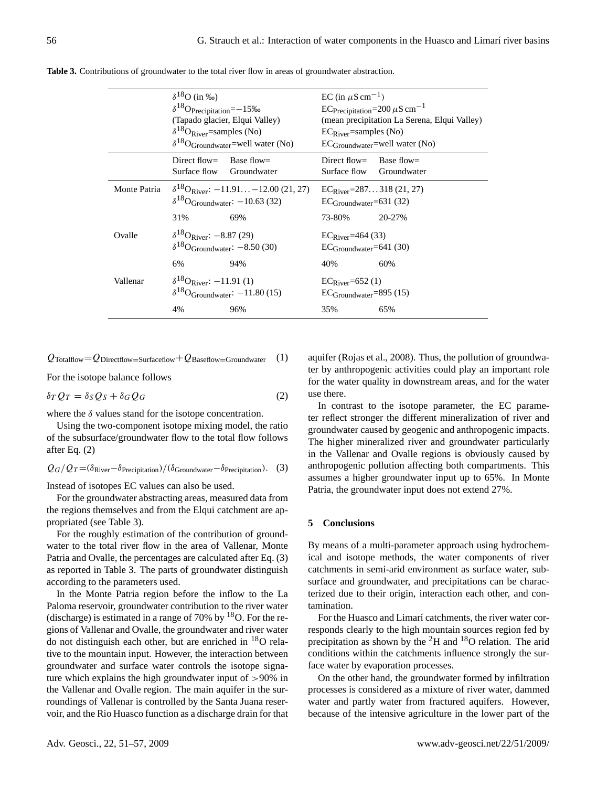|              | $\delta^{18}$ O (in ‰)<br>$\delta^{18}$ O <sub>Precipitation</sub> =-15‰<br>$\delta^{18}$ O <sub>River</sub> =samples (No) | (Tapado glacier, Elqui Valley)<br>$\delta^{18}O_{\text{Groundwater}}$ =well water (No)                 | EC (in $\mu$ S cm <sup>-1</sup> )<br>EC Precipitation=200 $\mu$ S cm <sup>-1</sup><br>(mean precipitation La Serena, Elqui Valley)<br>$EC_{\text{River}}$ =samples (No)<br>$EC_{Groundwater}$ =well water (No) |                           |  |  |  |  |
|--------------|----------------------------------------------------------------------------------------------------------------------------|--------------------------------------------------------------------------------------------------------|----------------------------------------------------------------------------------------------------------------------------------------------------------------------------------------------------------------|---------------------------|--|--|--|--|
|              | Direct flow=<br>Surface flow                                                                                               | Base flow=<br>Groundwater                                                                              | Direct flow=<br>Surface flow                                                                                                                                                                                   | Base flow=<br>Groundwater |  |  |  |  |
| Monte Patria |                                                                                                                            | $\delta^{18}$ O <sub>River</sub> : $-11.91$ -12.00 (21, 27)<br>$\delta^{18}$ OGroundwater: -10.63 (32) | $EC_{\text{River}} = 287318(21, 27)$<br>$EC_{Groundwater} = 631(32)$                                                                                                                                           |                           |  |  |  |  |
|              | 31%                                                                                                                        | 69%                                                                                                    | 73-80%                                                                                                                                                                                                         | 20-27%                    |  |  |  |  |
| Ovalle       | $\delta^{18}$ O <sub>River</sub> : -8.87 (29)<br>$\delta^{18}$ O <sub>Groundwater</sub> : $-8.50$ (30)<br>6%               | 94%                                                                                                    | $EC_{\text{River}} = 464(33)$<br>$EC_{Groundwater} = 641(30)$<br>40%                                                                                                                                           | 60%                       |  |  |  |  |
| Vallenar     | $\delta^{18}$ O <sub>River</sub> : -11.91 (1)                                                                              | $\delta^{18}$ OGroundwater: -11.80 (15)                                                                | $EC_{\text{River}} = 652(1)$<br>$EC_{Groundwater} = 895(15)$                                                                                                                                                   |                           |  |  |  |  |
|              | 4%                                                                                                                         | 96%                                                                                                    | 35%                                                                                                                                                                                                            | 65%                       |  |  |  |  |

**Table 3.** Contributions of groundwater to the total river flow in areas of groundwater abstraction.

$$
Q_{\text{Totalflow}} = Q_{\text{Directflow} = \text{Surfaceflow}} + Q_{\text{Baseflow} = \text{Groundwater}} \quad (1)
$$

For the isotope balance follows

$$
\delta_T Q_T = \delta_S Q_S + \delta_G Q_G \tag{2}
$$

where the  $\delta$  values stand for the isotope concentration.

Using the two-component isotope mixing model, the ratio of the subsurface/groundwater flow to the total flow follows after Eq. (2)

$$
Q_G/Q_T = (\delta_{\text{River}} - \delta_{\text{Precription}}) / (\delta_{\text{Groundwater}} - \delta_{\text{Precription}}). \quad (3)
$$

Instead of isotopes EC values can also be used.

For the groundwater abstracting areas, measured data from the regions themselves and from the Elqui catchment are appropriated (see Table 3).

For the roughly estimation of the contribution of groundwater to the total river flow in the area of Vallenar, Monte Patria and Ovalle, the percentages are calculated after Eq. (3) as reported in Table 3. The parts of groundwater distinguish according to the parameters used.

In the Monte Patria region before the inflow to the La Paloma reservoir, groundwater contribution to the river water (discharge) is estimated in a range of 70% by  $18$ O. For the regions of Vallenar and Ovalle, the groundwater and river water do not distinguish each other, but are enriched in <sup>18</sup>O relative to the mountain input. However, the interaction between groundwater and surface water controls the isotope signature which explains the high groundwater input of >90% in the Vallenar and Ovalle region. The main aquifer in the surroundings of Vallenar is controlled by the Santa Juana reservoir, and the Rio Huasco function as a discharge drain for that aquifer (Rojas et al., 2008). Thus, the pollution of groundwater by anthropogenic activities could play an important role for the water quality in downstream areas, and for the water use there.

In contrast to the isotope parameter, the EC parameter reflect stronger the different mineralization of river and groundwater caused by geogenic and anthropogenic impacts. The higher mineralized river and groundwater particularly in the Vallenar and Ovalle regions is obviously caused by anthropogenic pollution affecting both compartments. This assumes a higher groundwater input up to 65%. In Monte Patria, the groundwater input does not extend 27%.

#### **5 Conclusions**

By means of a multi-parameter approach using hydrochemical and isotope methods, the water components of river catchments in semi-arid environment as surface water, subsurface and groundwater, and precipitations can be characterized due to their origin, interaction each other, and contamination.

For the Huasco and Limarí catchments, the river water corresponds clearly to the high mountain sources region fed by precipitation as shown by the  ${}^{2}$ H and  ${}^{18}$ O relation. The arid conditions within the catchments influence strongly the surface water by evaporation processes.

On the other hand, the groundwater formed by infiltration processes is considered as a mixture of river water, dammed water and partly water from fractured aquifers. However, because of the intensive agriculture in the lower part of the